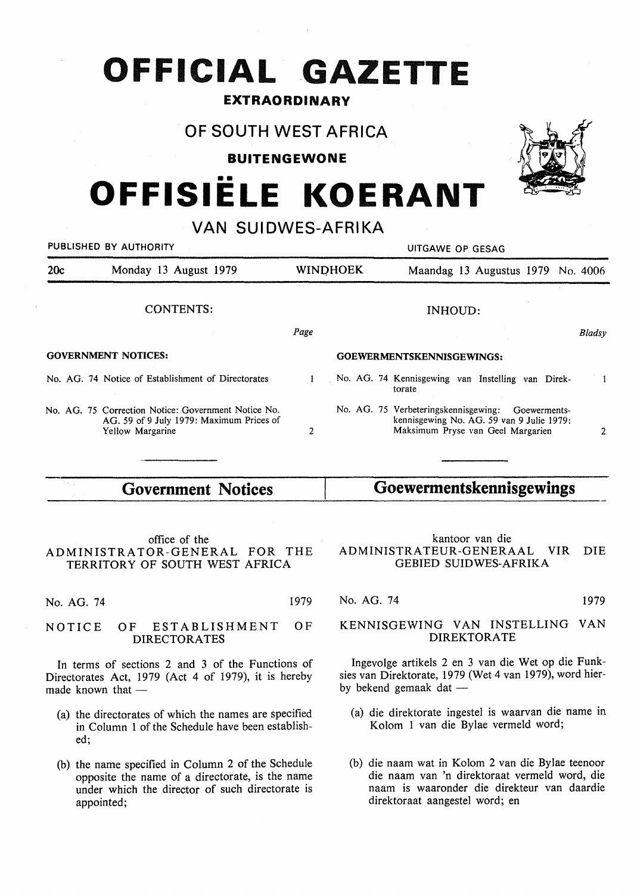## **OFFICIAL GAZETTE**

## **EXTRAORDINARY**

## **OF SOUTH WEST AFRICA**

**BUITENGEWONE** 

# •• **OFFISIELE KOERANT**

## **VAN SUIDWES-AFRIKA**

| PUBLISHED BY AUTHORITY |                                                                                                                     | UITGAWE OP GESAG |                                                                                                                                     |        |
|------------------------|---------------------------------------------------------------------------------------------------------------------|------------------|-------------------------------------------------------------------------------------------------------------------------------------|--------|
| 20c                    | Monday 13 August 1979                                                                                               | <b>WINDHOEK</b>  | Maandag 13 Augustus 1979 No. 4006                                                                                                   |        |
|                        | <b>CONTENTS:</b>                                                                                                    |                  | INHOUD:                                                                                                                             |        |
|                        |                                                                                                                     | Page             |                                                                                                                                     | Bladsy |
|                        | <b>GOVERNMENT NOTICES:</b>                                                                                          |                  | GOEWERMENTSKENNISGEWINGS:                                                                                                           |        |
|                        | No. AG. 74 Notice of Establishment of Directorates                                                                  |                  | No. AG. 74 Kennisgewing van Instelling van Direk-<br>torate                                                                         |        |
|                        | No. AG. 75 Correction Notice: Government Notice No.<br>AG, 59 of 9 July 1979: Maximum Prices of<br>Yellow Margarine | 2                | No. AG. 75 Verbeteringskennisgewing: Goewerments-<br>kennisgewing No. AG. 59 van 9 Julie 1979:<br>Maksimum Pryse van Geel Margarien | 2      |
|                        |                                                                                                                     |                  |                                                                                                                                     |        |

| <b>Government Notices</b> | Goewermentskennisgewings |
|---------------------------|--------------------------|
|---------------------------|--------------------------|

#### office of the ADMINISTRATOR-GENERAL FOR THE TERRITORY OF SOUTH WEST AFRICA

No. AG. 74 1979

#### NOTICE OF ESTABLISHMENT OF DIRECTORATES

In terms of sections 2 and 3 of the Functions of Directorates Act, 1979 (Act 4 of 1979), it is hereby made known that -

- (a) the directorates of which the names are specified in Column 1 of the Schedule have been established;
- (b) the name specified in Column 2 of the Schedule opposite the name of a directorate, is the name under which the director of such directorate is appointed;

#### kantoor van die ADMINISTRATEUR-GENERAAL VIR DIE GEBIED SUIDWES-AFRIKA

### No. AG. 74 1979

#### KENNISGEWING VAN INSTELLING VAN **DIREKTORATE**

lngevolge artikels 2 en 3 van die Wet op die Funksies van Direktorate, 1979 (Wet 4 van 1979), word hierby bekend gemaak dat  $-$ 

- (a) die direktorate ingestel is waarvan die name in Kolom 1 van die Bylae vermeld word;
- (b) die naam wat in Kolom 2 van die Bylae teenoor die naam van 'n direktoraat vermeld word, die naam is waaronder die direkteur van daardie direktoraat aangestel word; en